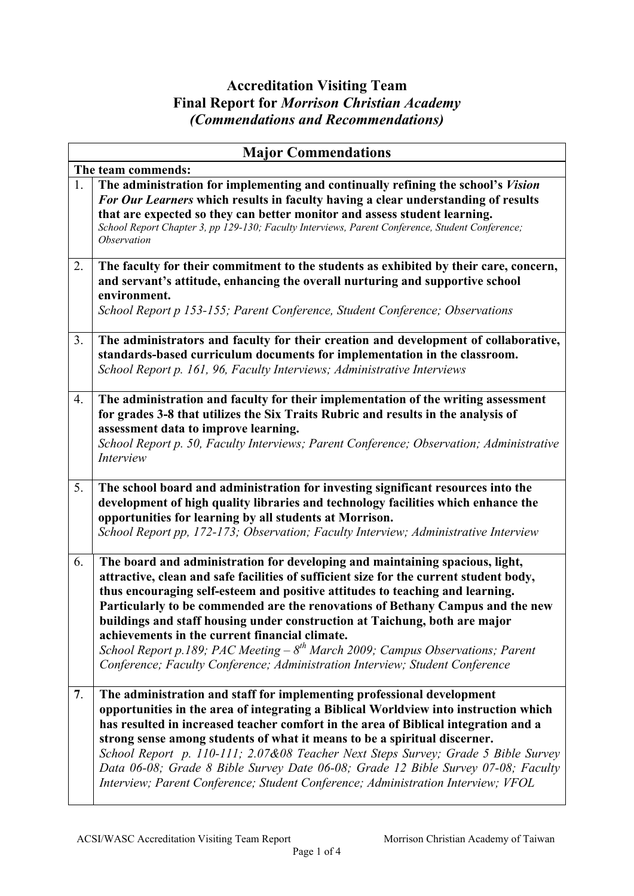## **Accreditation Visiting Team Final Report for** *Morrison Christian Academy (Commendations and Recommendations)*

|                    | <b>Major Commendations</b>                                                                                                                                                                                                                                                                                                                                                                                                                                                                                                                                                                                                                      |  |
|--------------------|-------------------------------------------------------------------------------------------------------------------------------------------------------------------------------------------------------------------------------------------------------------------------------------------------------------------------------------------------------------------------------------------------------------------------------------------------------------------------------------------------------------------------------------------------------------------------------------------------------------------------------------------------|--|
| The team commends: |                                                                                                                                                                                                                                                                                                                                                                                                                                                                                                                                                                                                                                                 |  |
| 1.                 | The administration for implementing and continually refining the school's Vision<br>For Our Learners which results in faculty having a clear understanding of results<br>that are expected so they can better monitor and assess student learning.<br>School Report Chapter 3, pp 129-130; Faculty Interviews, Parent Conference, Student Conference;<br>Observation                                                                                                                                                                                                                                                                            |  |
| 2.                 | The faculty for their commitment to the students as exhibited by their care, concern,<br>and servant's attitude, enhancing the overall nurturing and supportive school<br>environment.<br>School Report p 153-155; Parent Conference, Student Conference; Observations                                                                                                                                                                                                                                                                                                                                                                          |  |
| 3.                 | The administrators and faculty for their creation and development of collaborative,<br>standards-based curriculum documents for implementation in the classroom.<br>School Report p. 161, 96, Faculty Interviews; Administrative Interviews                                                                                                                                                                                                                                                                                                                                                                                                     |  |
| 4.                 | The administration and faculty for their implementation of the writing assessment<br>for grades 3-8 that utilizes the Six Traits Rubric and results in the analysis of<br>assessment data to improve learning.<br>School Report p. 50, Faculty Interviews; Parent Conference; Observation; Administrative<br>Interview                                                                                                                                                                                                                                                                                                                          |  |
| 5.                 | The school board and administration for investing significant resources into the<br>development of high quality libraries and technology facilities which enhance the<br>opportunities for learning by all students at Morrison.<br>School Report pp, 172-173; Observation; Faculty Interview; Administrative Interview                                                                                                                                                                                                                                                                                                                         |  |
| 6.                 | The board and administration for developing and maintaining spacious, light,<br>attractive, clean and safe facilities of sufficient size for the current student body,<br>thus encouraging self-esteem and positive attitudes to teaching and learning.<br>Particularly to be commended are the renovations of Bethany Campus and the new<br>buildings and staff housing under construction at Taichung, both are major<br>achievements in the current financial climate.<br>School Report p.189; PAC Meeting $-8^{th}$ March 2009; Campus Observations; Parent<br>Conference; Faculty Conference; Administration Interview; Student Conference |  |
| 7 <sub>1</sub>     | The administration and staff for implementing professional development<br>opportunities in the area of integrating a Biblical Worldview into instruction which<br>has resulted in increased teacher comfort in the area of Biblical integration and a<br>strong sense among students of what it means to be a spiritual discerner.<br>School Report p. 110-111; 2.07&08 Teacher Next Steps Survey; Grade 5 Bible Survey<br>Data 06-08; Grade 8 Bible Survey Date 06-08; Grade 12 Bible Survey 07-08; Faculty<br>Interview; Parent Conference; Student Conference; Administration Interview; VFOL                                                |  |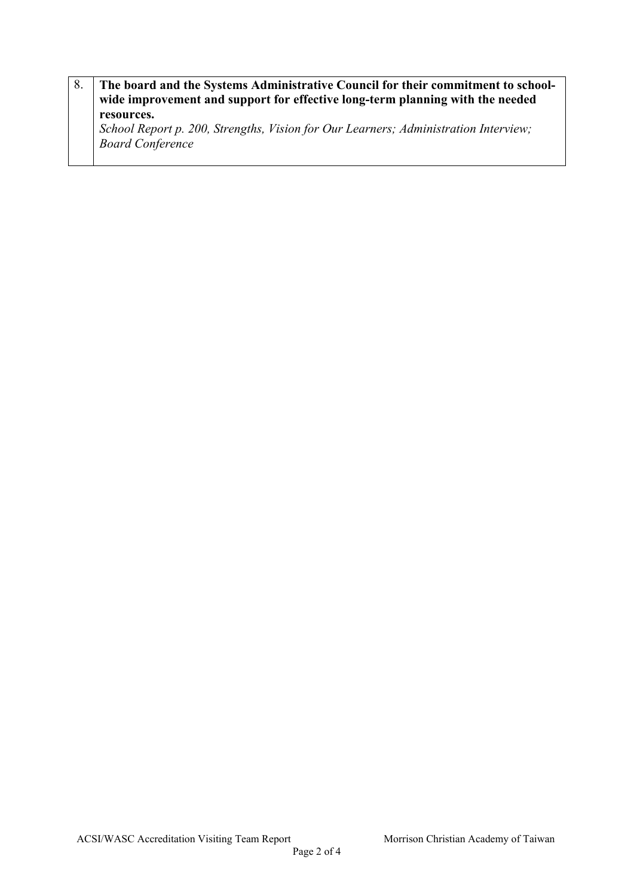| 8. | The board and the Systems Administrative Council for their commitment to school-<br>wide improvement and support for effective long-term planning with the needed |
|----|-------------------------------------------------------------------------------------------------------------------------------------------------------------------|
|    | resources.<br>School Report p. 200, Strengths, Vision for Our Learners; Administration Interview;<br><b>Board Conference</b>                                      |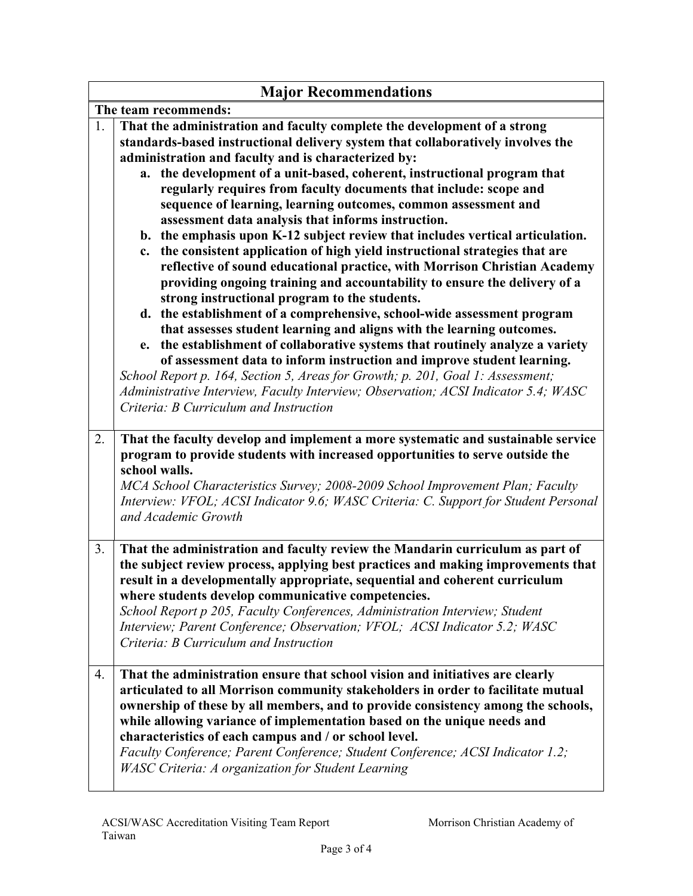| <b>Major Recommendations</b> |                                                                                                                                                                                                                                                                                                                                                                                                                                                                                                                                                                                                                                                                                                                                                                                                                                                                                                                                                                                                                                                                                                                                                                                                                                                                                                                                                                                                                     |  |
|------------------------------|---------------------------------------------------------------------------------------------------------------------------------------------------------------------------------------------------------------------------------------------------------------------------------------------------------------------------------------------------------------------------------------------------------------------------------------------------------------------------------------------------------------------------------------------------------------------------------------------------------------------------------------------------------------------------------------------------------------------------------------------------------------------------------------------------------------------------------------------------------------------------------------------------------------------------------------------------------------------------------------------------------------------------------------------------------------------------------------------------------------------------------------------------------------------------------------------------------------------------------------------------------------------------------------------------------------------------------------------------------------------------------------------------------------------|--|
| The team recommends:         |                                                                                                                                                                                                                                                                                                                                                                                                                                                                                                                                                                                                                                                                                                                                                                                                                                                                                                                                                                                                                                                                                                                                                                                                                                                                                                                                                                                                                     |  |
| 1.                           | That the administration and faculty complete the development of a strong<br>standards-based instructional delivery system that collaboratively involves the<br>administration and faculty and is characterized by:<br>the development of a unit-based, coherent, instructional program that<br>a.<br>regularly requires from faculty documents that include: scope and<br>sequence of learning, learning outcomes, common assessment and<br>assessment data analysis that informs instruction.<br>b. the emphasis upon K-12 subject review that includes vertical articulation.<br>the consistent application of high yield instructional strategies that are<br>c.<br>reflective of sound educational practice, with Morrison Christian Academy<br>providing ongoing training and accountability to ensure the delivery of a<br>strong instructional program to the students.<br>d. the establishment of a comprehensive, school-wide assessment program<br>that assesses student learning and aligns with the learning outcomes.<br>the establishment of collaborative systems that routinely analyze a variety<br>e.<br>of assessment data to inform instruction and improve student learning.<br>School Report p. 164, Section 5, Areas for Growth; p. 201, Goal 1: Assessment;<br>Administrative Interview, Faculty Interview; Observation; ACSI Indicator 5.4; WASC<br>Criteria: B Curriculum and Instruction |  |
| 2.                           | That the faculty develop and implement a more systematic and sustainable service<br>program to provide students with increased opportunities to serve outside the<br>school walls.<br>MCA School Characteristics Survey; 2008-2009 School Improvement Plan; Faculty<br>Interview: VFOL; ACSI Indicator 9.6; WASC Criteria: C. Support for Student Personal<br>and Academic Growth                                                                                                                                                                                                                                                                                                                                                                                                                                                                                                                                                                                                                                                                                                                                                                                                                                                                                                                                                                                                                                   |  |
| 3.                           | That the administration and faculty review the Mandarin curriculum as part of<br>the subject review process, applying best practices and making improvements that<br>result in a developmentally appropriate, sequential and coherent curriculum<br>where students develop communicative competencies.<br>School Report p 205, Faculty Conferences, Administration Interview; Student<br>Interview; Parent Conference; Observation; VFOL; ACSI Indicator 5.2; WASC<br>Criteria: B Curriculum and Instruction                                                                                                                                                                                                                                                                                                                                                                                                                                                                                                                                                                                                                                                                                                                                                                                                                                                                                                        |  |
| 4.                           | That the administration ensure that school vision and initiatives are clearly<br>articulated to all Morrison community stakeholders in order to facilitate mutual<br>ownership of these by all members, and to provide consistency among the schools,<br>while allowing variance of implementation based on the unique needs and<br>characteristics of each campus and / or school level.<br>Faculty Conference; Parent Conference; Student Conference; ACSI Indicator 1.2;<br><b>WASC Criteria: A organization for Student Learning</b>                                                                                                                                                                                                                                                                                                                                                                                                                                                                                                                                                                                                                                                                                                                                                                                                                                                                            |  |